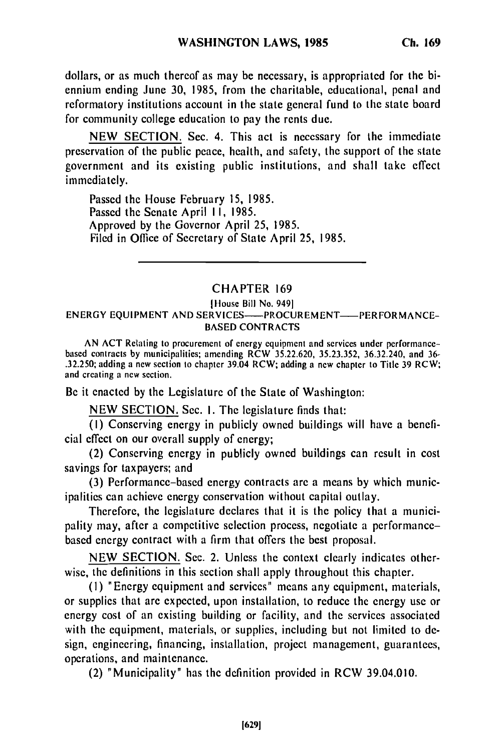dollars, or as much thereof as may be necessary, is appropriated for the biennium ending June 30, 1985, from the charitable, educational, penal and reformatory institutions account in the state general fund to the state board for community college education to pay the rents due.

NEW SECTION. Sec. 4. This act is necessary for the immediate preservation of the public peace, health, and safety, the support of the state government and its existing public institutions, and shall take effect immediately.

Passed the House February 15, 1985. Passed the Senate April II, 1985. Approved by the Governor April 25, 1985. Filed in Office of Secretary of State April 25, 1985.

## CHAPTER 169

## Iltousc Bill No. 9491 ENERGY EQUIPMENT AND SERVICES----- PROCUREMENT---- PERFORMANCE-BASED CONTRACTS

AN ACT Retating to procurement of energy equipment and services under performancebased contracts by municipalities; amending RCW 35.22.620, 35.23.352, 36.32.240, and 36 based contracts by municipalities, amending  $R \subset W$ , adding  $22.25.25.252$ ;  $30.32.25.352$ ;  $30.32.7240$ ; and  $39.0$ and creating a new section.

Be it enacted by the Legislature of the State of Washington:

NEW SECTION. Sec. I. The legislature finds that:

(I) Conserving energy in publicly owned buildings will have a beneficial effect on our overall supply of energy;

(2) Conserving energy in publicly owned buildings can result in cost savings for taxpayers; and

(3) Performance-based energy contracts are a means by which municipalities can achieve energy conservation without capital outlay.

Therefore, the legislature declares that it is the policy that a municipality may, after a competitive selection process, negotiate a performancebased energy contract with a firm that offers the best proposal.

NEW SECTION. Sec. 2. Unless the context clearly indicates otherwise, the definitions in this section shall apply throughout this chapter.

(I) "Energy equipment and services" means any equipment, materials, or supplies that are expected, upon installation, to reduce the energy use or energy cost of an existing building or facility, and the services associated with the equipment, materials, or supplies, including but not limited to design, engineering, financing, installation, project management, guarantees, operations, and maintenance.

(2) "Municipality" has the definition provided in RCW 39.04.010.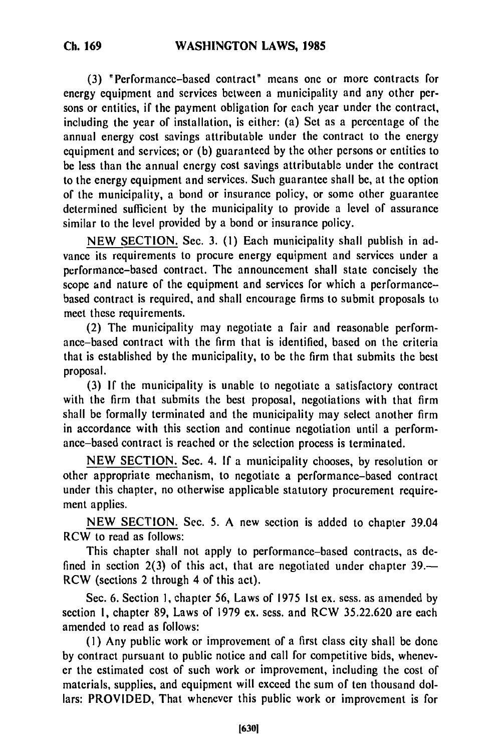**(3)** "Performance-based contract" means one or more contracts for energy equipment and services between a municipality and any other persons or entities, if the payment obligation for each year under the contract, including the year of installation, is either: (a) Set as a percentage of the annual energy cost savings attributable under the contract to the energy equipment and services; or (b) guaranteed by the other persons or entities to be less than the annual energy cost savings attributable under the contract to the energy equipment and services. Such guarantee shall be, at the option of the municipality, a bond or insurance policy, or some other guarantee determined sufficient by the municipality to provide a level of assurance similar to the level provided by a bond or insurance policy.

NEW SECTION. Sec. 3. (1) Each municipality shall publish in advance its requirements to procure energy equipment and services under a performance-based contract. The announcement shall state concisely the scope and nature of the equipment and services for which a performancebased contract is required, and shall encourage firms to submit proposals to meet these requirements.

(2) The municipality may negotiate a fair and reasonable performance-based contract with the firm that is identified, based on the criteria that is established by the municipality, to be the firm that submits the best proposal.

(3) If the municipality is unable to negotiate a satisfactory contract with the firm that submits the best proposal, negotiations with that firm shall be formally terminated and the municipality may select another firm in accordance with this section and continue negotiation until a performance-based contract is reached or the selection process is terminated.

NEW SECTION. Sec. 4. If a municipality chooses, by resolution or other appropriate mechanism, to negotiate a performance-based contract under this chapter, no otherwise applicable statutory procurement requirement applies.

NEW SECTION. Sec. 5. A new section is added to chapter 39.04 RCW to read as follows:

This chapter shall not apply to performance-based contracts, as defined in section 2(3) of this act, that are negotiated under chapter 39.— RCW (sections 2 through 4 of this act).

Sec. 6. Section **1,** chapter 56, Laws of 1975 Ist ex. sess. as amended by section 1, chapter 89, Laws of 1979 ex. sess. and RCW 35.22.620 are each amended to read as follows:

**(I)** Any public work or improvement of a first class city shall be done by contract pursuant to public notice and call for competitive bids, whenever the estimated cost of such work or improvement, including the cost of materials, supplies, and equipment will exceed the sum of ten thousand dollars: PROVIDED, That whenever this public work or improvement is for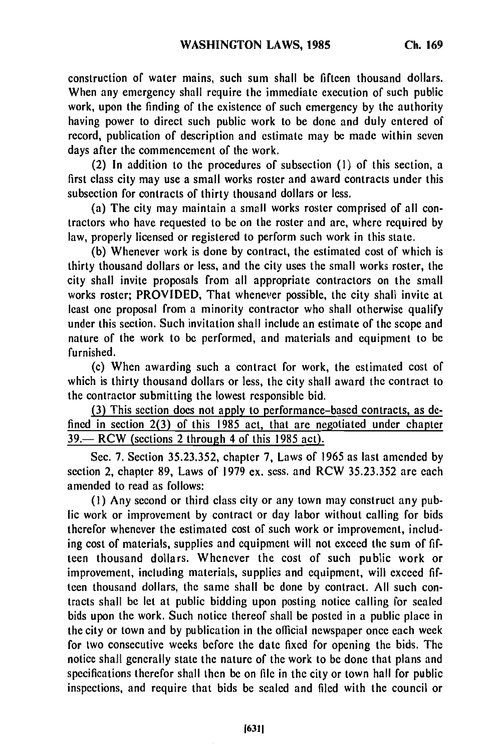construction of water mains, such sum shall be fifteen thousand dollars. When any emergency shall require the immediate execution of such public work, upon the finding of the existence of such emergency by the authority having power to direct such public work to be done and duly entered of record, publication of description and estimate may be made within seven days after the commencement of the work.

(2) In addition to the procedures of subsection **(1)** of this section, a first class city may use a small works roster and award contracts under this subsection for contracts of thirty thousand dollars or less.

(a) The city may maintain a small works roster comprised of all contractors who have requested to be on the roster and are, where required by law, properly licensed or registered to perform such work in this state.

(b) Whenever work is done by contract, the estimated cost of which is thirty thousand dollars or less, and the city uses the small works roster, the city shall invite proposals from all appropriate contractors on the small works roster; PROVIDED, That whenever possible, the city shall invite at least one proposal from a minority contractor who shall otherwise qualify under this section. Such invitation shall include an estimate of the scope and nature of the work to be performed, and materials and equipment to be furnished.

(c) When awarding such a contract for work, the estimated cost of which is thirty thousand dollars or less, the city shall award the contract to the contractor submitting the lowest responsible bid.

(3) This section does not apply to performance-based contracts, as defined in section 2(3) of this **1985** act, that are negotiated under chapter  $39.$  RCW (sections 2 through 4 of this 1985 act).

Sec. 7. Section 35.23.352, chapter 7, Laws of 1965 as last amended by section 2, chapter 89, Laws of 1979 ex. sess. and RCW 35.23.352 are each amended to read as follows:

**(1)** Any second or third class city or any town may construct any public work or improvement by contract or day labor without calling for bids therefor whenever the estimated cost of such work or improvement, including cost of materials, supplies and equipment will not exceed the sum of fifteen thousand dollars. Whenever the cost of such public work or improvement, including materials, supplies and equipment, will exceed fifteen thousand dollars, the same shall be done by contract. All such contracts shall be let at public bidding upon posting notice calling for sealed bids upon the work. Such notice thereof shall be posted in a public place in the city or town and by publication in the official newspaper once each week for two consecutive weeks before the date fixed for opening the bids. The notice shall generally state the nature of the work to be done that plans and specifications therefor shall then be on file in the city or town hall for public inspections, and require that bids be sealed and filed with the council or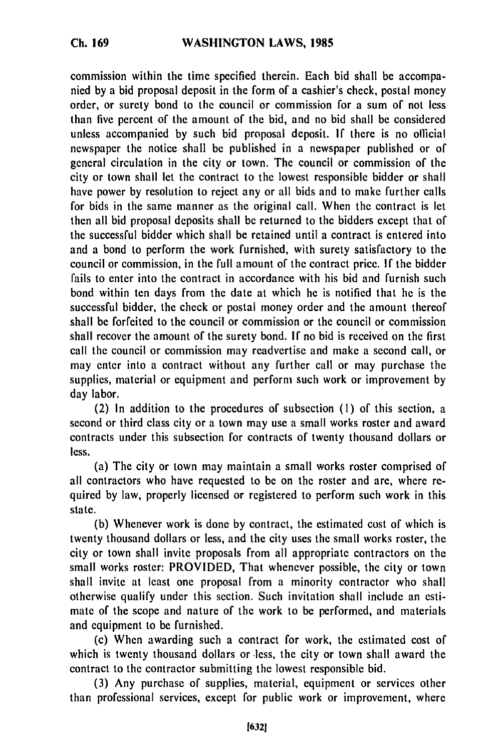commission within the time specified therein. Each bid shall be accompanied by a bid proposal deposit in the form of a cashier's check, postal money order, or surety bond to the council or commission for a sum of not less than five percent of the amount of the bid, and no bid shall be considered unless accompanied by such bid proposal deposit. **If** there is no official newspaper the notice shall be published in a newspaper published or of general circulation in the city or town. The council or commission of the city or town shall let the contract to the lowest responsible bidder or shall have power by resolution to reject any or all bids and to make further calls for bids in the same manner as the original call. When the contract is let then all bid proposal deposits shall be returned to the bidders except that of the successful bidder which shall be retained until a contract is entered into and a bond to perform the work furnished, with surety satisfactory to the council or commission, in the full amount of the contract price. **If** the bidder fails to enter into the contract in accordance with his bid and furnish such bond within ten days from the date at which he is notified that he is the successful bidder, the check or postal money order and the amount thereof shall be forfeited to the council or commission or the council or commission shall recover the amount of the surety bond. **If** no bid is received on the first call the council or commission may readvertise and make a second call, or may enter into a contract without any further call or may purchase the supplies, material or equipment and perform such work or improvement by day labor.

(2) In addition to the procedures of subsection **(1)** of this section, a second or third class city or a town may use a small works roster and award contracts under this subsection for contracts of twenty thousand dollars or less.

(a) The city or town may maintain a small works roster comprised of all contractors who have requested to **be** on the roster and are, where required by law, properly licensed or registered to perform such work in this state.

(b) Whenever work is done by contract, the estimated cost of which is twenty thousand dollars or less, and the city uses the small works roster, the city or town shall invite proposals from all appropriate contractors on the small works roster: PROVIDED, That whenever possible, the city or town shall invite at least one proposal from a minority contractor who shall otherwise qualify under this section. Such invitation shall include an estimate of the scope and nature of the work to be performed, and materials and equipment to be furnished.

(c) When awarding such a contract for work, the estimated cost of which is twenty thousand dollars or less, the city or town shall award the contract to the contractor submitting the lowest responsible bid.

(3) Any purchase of supplies, material, equipment or services other than professional services, except for public work or improvement, where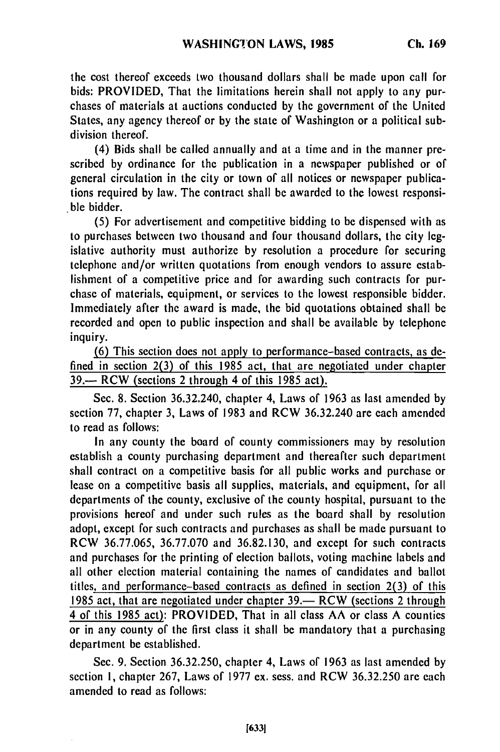the cost thereof exceeds two thousand dollars shall be made upon call for bids: PROVIDED, That the limitations herein shall not apply to any purchases of materials at auctions conducted by the government of the United States, any agency thereof or by the state of Washington or a political subdivision thereof.

(4) Bids shall be called annually and at a time and in the manner prescribed by ordinance for the publication in a newspaper published or of general circulation in the city or town of all notices or newspaper publications required by law. The contract shall be awarded to the lowest responsible bidder.

(5) For advertisement and competitive bidding to be dispensed with as to purchases between two thousand and four thousand dollars, the city legislative authority must authorize by resolution a procedure for securing telephone and/or written quotations from enough vendors to assure establishment of a competitive price and for awarding such contracts for purchase of materials, equipment, or services to the lowest responsible bidder. Immediately after the award is made, the bid quotations obtained shall be recorded and open to public inspection and shall be available by telephone inquiry.

(6) This section does not apply to performance-based contracts, as defined in section 2(3) of this 1985 act, that are negotiated under chapter **39.-** RCW (sections 2 through 4 of this 1985 act).

Sec. 8. Section 36.32.240, chapter 4, Laws of 1963 as last amended by section 77, chapter 3, Laws of 1983 and RCW 36.32.240 are each amended to read as follows:

In any county the board of county commissioners may by resolution establish a county purchasing department and thereafter such department shall contract on a competitive basis for all public works and purchase or lease on a competitive basis all supplies, materials, and equipment, for all departments of the county, exclusive of the county hospital, pursuant to the provisions hereof and under such rules as the board shall by resolution adopt, except for such contracts and purchases as shall be made pursuant to RCW 36.77.065, 36.77.070 and 36.82.130, and except for such contracts and purchases for the printing of election ballots, voting machine labels and all other election material containing the names of candidates and ballot titles, and performance-based contracts as defined in section 2(3) of this 1985 act, that are negotiated under chapter 39.— RCW (sections 2 through 4 of this 1985 act): PROVIDED, That in all class AA or class A counties or in any county of the first class it shall be mandatory that a purchasing department be established.

Sec. 9. Section 36.32.250, chapter 4, Laws of 1963 as last amended by section 1, chapter 267, Laws of 1977 ex. sess. and RCW 36.32.250 are each amended to read as follows: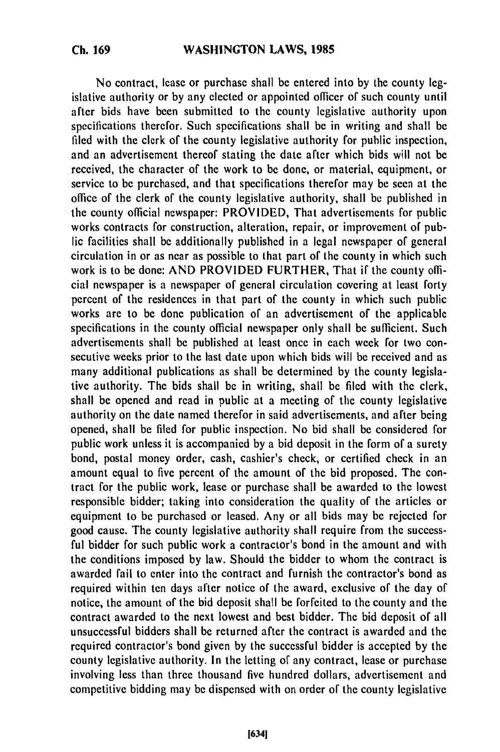No contract, lease or purchase shall be entered into by the county legislative authority or by any elected or appointed officer of such county until after bids have been submitted to the county legislative authority upon specifications therefor. Such specifications shall be in writing and shall be filed with the clerk of the county legislative authority for public inspection, and an advertisement thereof stating the date after which bids will not be received, the character of the work to be done, or material, equipment, or service to be purchased, and that specifications therefor may be seen at the office of the clerk of the county legislative authority, shall be published in the county official newspaper: PROVIDED, That advertisements for public works contracts for construction, alteration, repair, or improvement of public facilities shall be additionally published in a legal newspaper of general circulation in or as near as possible to that part of the county in which such work is to be done: AND PROVIDED FURTHER, That if the county official newspaper is a newspaper of general circulation covering at least forty percent of the residences in that part of the county in which such public works are to be done publication of an advertisement of the applicable specifications in the county official newspaper only shall be sufficient. Such advertisements shall be published at least once in each week for two consecutive weeks prior to the last date upon which bids will be received and as many additional publications as shall be determined by the county legislative authority. The bids shall be in writing, shall be filed with the clerk, shall be opened and read in public at a meeting of the county legislative authority on the date named therefor in said advertisements, and after being opened, shall be filed for public inspection. No bid shall be considered for public work unless it is accompanied by a bid deposit in the form of a surety bond, postal money order, cash, cashier's check, or certified check in an amount equal to five percent of the amount of the bid proposed. The contract for the public work, lease or purchase shall be awarded to the lowest responsible bidder; taking into consideration the quality of the articles or equipment to be purchased or leased. Any or all bids may be rejected for good cause. The county legislative authority shall require from the successful bidder for such public work a contractor's bond in the amount and with the conditions imposed by law. Should the bidder to whom the contract is awarded fail to enter into the contract and furnish the contractor's bond as required within ten days after notice of the award, exclusive of the day of notice, the amount of the bid deposit shall be forfeited to the county and the contract awarded to the next lowest and best bidder. The bid deposit of all unsuccessful bidders shall be returned after the contract is awarded and the required contractor's bond given by the successful bidder is accepted by the county legislative authority. In the letting of any contract, lease or purchase involving less than three thousand five hundred dollars, advertisement and competitive bidding may be dispensed with on order of the county legislative